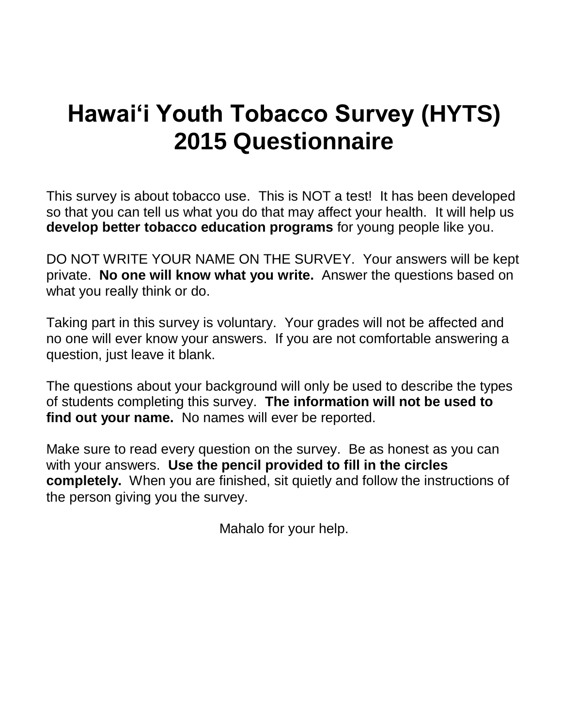# **Hawai'i Youth Tobacco Survey (HYTS) 2015 Questionnaire**

This survey is about tobacco use. This is NOT a test! It has been developed so that you can tell us what you do that may affect your health. It will help us **develop better tobacco education programs** for young people like you.

DO NOT WRITE YOUR NAME ON THE SURVEY. Your answers will be kept private. **No one will know what you write.** Answer the questions based on what you really think or do.

Taking part in this survey is voluntary. Your grades will not be affected and no one will ever know your answers. If you are not comfortable answering a question, just leave it blank.

The questions about your background will only be used to describe the types of students completing this survey. **The information will not be used to find out your name.** No names will ever be reported.

Make sure to read every question on the survey. Be as honest as you can with your answers. **Use the pencil provided to fill in the circles completely.** When you are finished, sit quietly and follow the instructions of the person giving you the survey.

Mahalo for your help.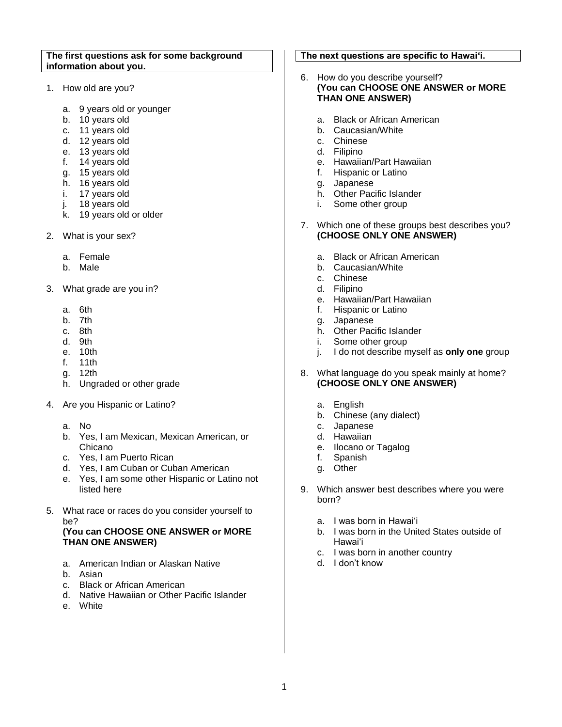#### **The first questions ask for some background information about you.**

- 1. How old are you?
	- a. 9 years old or younger
	- b. 10 years old
	- c. 11 years old
	- d. 12 years old
	- e. 13 years old
	- f. 14 years old
	- g. 15 years old
	- h. 16 years old
	- i. 17 years old
	- j. 18 years old
	- k. 19 years old or older
- 2. What is your sex?
	- a. Female
	- b. Male
- 3. What grade are you in?
	- a. 6th
	- b. 7th
	- c. 8th
	- d. 9th
	- e. 10th
	- f. 11th
	- g. 12th
	- h. Ungraded or other grade
- 4. Are you Hispanic or Latino?
	- a. No
	- b. Yes, I am Mexican, Mexican American, or Chicano
	- c. Yes, I am Puerto Rican
	- d. Yes, I am Cuban or Cuban American
	- e. Yes, I am some other Hispanic or Latino not listed here
- 5. What race or races do you consider yourself to be?

## **(You can CHOOSE ONE ANSWER or MORE THAN ONE ANSWER)**

- a. American Indian or Alaskan Native
- b. Asian
- c. Black or African American
- d. Native Hawaiian or Other Pacific Islander
- e. White

## **The next questions are specific to Hawai'i.**

- 6. How do you describe yourself? **(You can CHOOSE ONE ANSWER or MORE THAN ONE ANSWER)**
	- a. Black or African American
	- b. Caucasian/White
	- c. Chinese
	- d. Filipino
	- e. Hawaiian/Part Hawaiian
	- f. Hispanic or Latino
	- g. Japanese
	- h. Other Pacific Islander
	- i. Some other group
- 7. Which one of these groups best describes you? **(CHOOSE ONLY ONE ANSWER)** 
	- a. Black or African American
	- b. Caucasian/White
	- c. Chinese
	- d. Filipino
	- e. Hawaiian/Part Hawaiian
	- f. Hispanic or Latino
	- g. Japanese
	- h. Other Pacific Islander
	- i. Some other group
	- j. I do not describe myself as **only one** group
- 8. What language do you speak mainly at home? **(CHOOSE ONLY ONE ANSWER)** 
	- a. English
	- b. Chinese (any dialect)
	- c. Japanese
	- d. Hawaiian
	- e. Ilocano or Tagalog
	- f. Spanish
	- g. Other
- 9. Which answer best describes where you were born?
	- a. I was born in Hawai'i
	- b. I was born in the United States outside of Hawai'i
	- c. I was born in another country
	- d. I don't know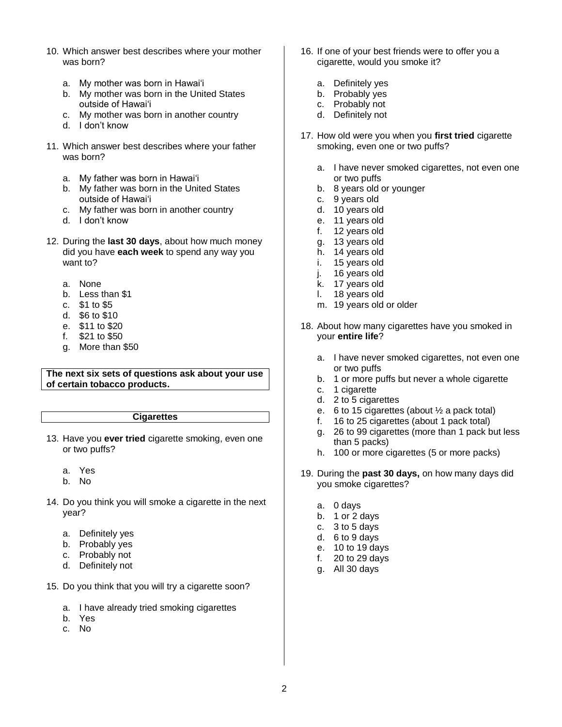- 10. Which answer best describes where your mother was born?
	- a. My mother was born in Hawai'i
	- b. My mother was born in the United States outside of Hawai'i
	- c. My mother was born in another country
	- d. I don't know
- 11. Which answer best describes where your father was born?
	- a. My father was born in Hawai'i
	- b. My father was born in the United States outside of Hawai'i
	- c. My father was born in another country
	- d. I don't know
- 12. During the **last 30 days**, about how much money did you have **each week** to spend any way you want to?
	- a. None
	- b. Less than \$1
	- c. \$1 to \$5
	- d. \$6 to \$10
	- e. \$11 to \$20
	- f. \$21 to \$50
	- g. More than \$50

#### **The next six sets of questions ask about your use of certain tobacco products.**

## **Cigarettes**

- 13. Have you **ever tried** cigarette smoking, even one or two puffs?
	- a. Yes
	- b. No
- 14. Do you think you will smoke a cigarette in the next year?
	- a. Definitely yes
	- b. Probably yes
	- c. Probably not
	- d. Definitely not
- 15. Do you think that you will try a cigarette soon?
	- a. I have already tried smoking cigarettes
	- b. Yes
	- c. No
- 16. If one of your best friends were to offer you a cigarette, would you smoke it?
	- a. Definitely yes
	- b. Probably yes
	- c. Probably not
	- d. Definitely not
- 17. How old were you when you **first tried** cigarette smoking, even one or two puffs?
	- a. I have never smoked cigarettes, not even one or two puffs
	- b. 8 years old or younger
	- c. 9 years old
	- d. 10 years old
	- e. 11 years old
	- f. 12 years old
	- g. 13 years old
	- h. 14 years old
	- i. 15 years old
	- j. 16 years old
	- k. 17 years old
	- l. 18 years old
	- m. 19 years old or older
- 18. About how many cigarettes have you smoked in your **entire life**?
	- a. I have never smoked cigarettes, not even one or two puffs
	- b. 1 or more puffs but never a whole cigarette
	- c. 1 cigarette
	- d. 2 to 5 cigarettes
	- e. 6 to 15 cigarettes (about  $\frac{1}{2}$  a pack total)
	- f. 16 to 25 cigarettes (about 1 pack total)
	- g. 26 to 99 cigarettes (more than 1 pack but less than 5 packs)
	- h. 100 or more cigarettes (5 or more packs)
- 19. During the **past 30 days,** on how many days did you smoke cigarettes?
	- a. 0 days
	- b. 1 or 2 days
	- c. 3 to 5 days
	- d. 6 to 9 days
	- e. 10 to 19 days
	- f. 20 to 29 days
	- g. All 30 days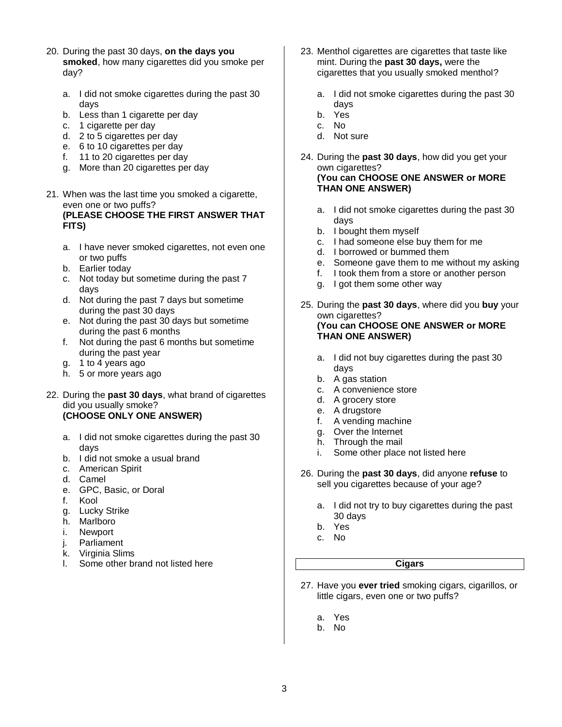- 20. During the past 30 days, **on the days you smoked**, how many cigarettes did you smoke per day?
	- a. I did not smoke cigarettes during the past 30 days
	- b. Less than 1 cigarette per day
	- c. 1 cigarette per day
	- d. 2 to 5 cigarettes per day
	- e. 6 to 10 cigarettes per day
	- f. 11 to 20 cigarettes per day
	- g. More than 20 cigarettes per day
- 21. When was the last time you smoked a cigarette, even one or two puffs? **(PLEASE CHOOSE THE FIRST ANSWER THAT FITS)**
	- a. I have never smoked cigarettes, not even one or two puffs
	- b. Earlier today
	- c. Not today but sometime during the past 7 days
	- d. Not during the past 7 days but sometime during the past 30 days
	- e. Not during the past 30 days but sometime during the past 6 months
	- f. Not during the past 6 months but sometime during the past year
	- g. 1 to 4 years ago
	- h. 5 or more years ago
- 22. During the **past 30 days**, what brand of cigarettes did you usually smoke? **(CHOOSE ONLY ONE ANSWER)**
	- a. I did not smoke cigarettes during the past 30 days
	- b. I did not smoke a usual brand
	- c. American Spirit
	- d. Camel
	- e. GPC, Basic, or Doral
	- f. Kool
	- g. Lucky Strike
	- h. Marlboro
	- i. Newport
	- j. Parliament
	- k. Virginia Slims
	- l. Some other brand not listed here
- 23. Menthol cigarettes are cigarettes that taste like mint. During the **past 30 days,** were the cigarettes that you usually smoked menthol?
	- a. I did not smoke cigarettes during the past 30 days
	- b. Yes
	- c. No
	- d. Not sure
- 24. During the **past 30 days**, how did you get your own cigarettes? **(You can CHOOSE ONE ANSWER or MORE THAN ONE ANSWER)**
	- a. I did not smoke cigarettes during the past 30 days
	- b. I bought them myself
	- c. I had someone else buy them for me
	- d. I borrowed or bummed them
	- e. Someone gave them to me without my asking
	- f. I took them from a store or another person
	- g. I got them some other way
- 25. During the **past 30 days**, where did you **buy** your own cigarettes? **(You can CHOOSE ONE ANSWER or MORE THAN ONE ANSWER)**
	- a. I did not buy cigarettes during the past 30 days
	- b. A gas station
	- c. A convenience store
	- d. A grocery store
	- e. A drugstore
	- f. A vending machine
	- g. Over the Internet
	- h. Through the mail
	- i. Some other place not listed here
- 26. During the **past 30 days**, did anyone **refuse** to sell you cigarettes because of your age?
	- a. I did not try to buy cigarettes during the past 30 days
	- b. Yes
	- c. No

## **Cigars**

- 27. Have you **ever tried** smoking cigars, cigarillos, or little cigars, even one or two puffs?
	- a. Yes
	- b. No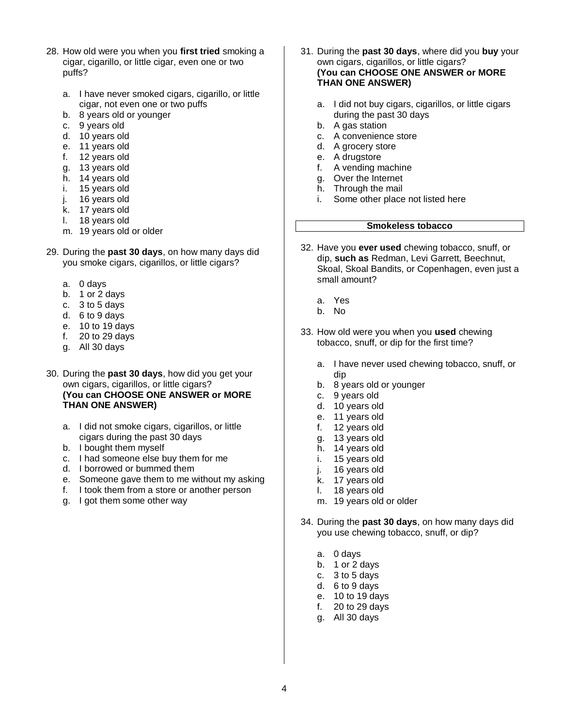- 28. How old were you when you **first tried** smoking a cigar, cigarillo, or little cigar, even one or two puffs?
	- a. I have never smoked cigars, cigarillo, or little cigar, not even one or two puffs
	- b. 8 years old or younger
	- c. 9 years old
	- d. 10 years old
	- e. 11 years old
	- f. 12 years old
	- g. 13 years old
	- h. 14 years old
	- i. 15 years old
	- j. 16 years old
	- k. 17 years old
	- l. 18 years old
	- m. 19 years old or older
- 29. During the **past 30 days**, on how many days did you smoke cigars, cigarillos, or little cigars?
	- a. 0 days
	- b. 1 or 2 days
	- c. 3 to 5 days
	- d. 6 to 9 days
	- e. 10 to 19 days
	- f. 20 to 29 days
	- g. All 30 days
- 30. During the **past 30 days**, how did you get your own cigars, cigarillos, or little cigars? **(You can CHOOSE ONE ANSWER or MORE THAN ONE ANSWER)**
	- a. I did not smoke cigars, cigarillos, or little cigars during the past 30 days
	- b. I bought them myself
	- c. I had someone else buy them for me
	- d. I borrowed or bummed them
	- e. Someone gave them to me without my asking
	- f. I took them from a store or another person
	- g. I got them some other way
- 31. During the **past 30 days**, where did you **buy** your own cigars, cigarillos, or little cigars? **(You can CHOOSE ONE ANSWER or MORE THAN ONE ANSWER)**
	- a. I did not buy cigars, cigarillos, or little cigars during the past 30 days
	- b. A gas station
	- c. A convenience store
	- d. A grocery store
	- e. A drugstore
	- f. A vending machine
	- g. Over the Internet
	- h. Through the mail
	- i. Some other place not listed here

## **Smokeless tobacco**

- 32. Have you **ever used** chewing tobacco, snuff, or dip, **such as** Redman, Levi Garrett, Beechnut, Skoal, Skoal Bandits, or Copenhagen, even just a small amount?
	- a. Yes
	- b. No
- 33. How old were you when you **used** chewing tobacco, snuff, or dip for the first time?
	- a. I have never used chewing tobacco, snuff, or dip
	- b. 8 years old or younger
	- c. 9 years old
	- d. 10 years old
	- e. 11 years old
	- f. 12 years old
	- g. 13 years old
	- h. 14 years old
	- i. 15 years old
	- j. 16 years old
	- k. 17 years old
	- l. 18 years old
	- m. 19 years old or older
- 34. During the **past 30 days**, on how many days did you use chewing tobacco, snuff, or dip?
	- a. 0 days
	- b. 1 or 2 days
	- c. 3 to 5 days
	- d. 6 to 9 days
	- e. 10 to 19 days
	- f. 20 to 29 days
	- g. All 30 days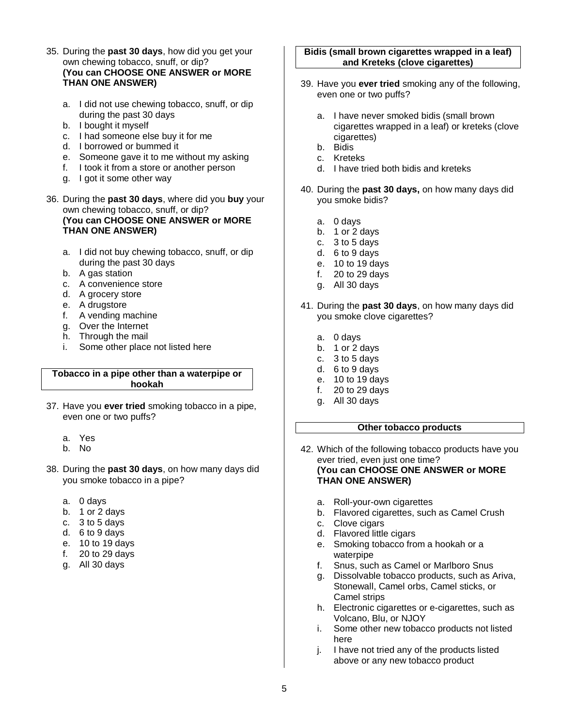- 35. During the **past 30 days**, how did you get your own chewing tobacco, snuff, or dip? **(You can CHOOSE ONE ANSWER or MORE THAN ONE ANSWER)**
	- a. I did not use chewing tobacco, snuff, or dip during the past 30 days
	- b. I bought it myself
	- c. I had someone else buy it for me
	- d. I borrowed or bummed it
	- e. Someone gave it to me without my asking
	- f. I took it from a store or another person
	- g. I got it some other way
- 36. During the **past 30 days**, where did you **buy** your own chewing tobacco, snuff, or dip? **(You can CHOOSE ONE ANSWER or MORE THAN ONE ANSWER)**
	- a. I did not buy chewing tobacco, snuff, or dip during the past 30 days
	- b. A gas station
	- c. A convenience store
	- d. A grocery store
	- e. A drugstore
	- f. A vending machine
	- g. Over the Internet
	- h. Through the mail
	- i. Some other place not listed here

#### **Tobacco in a pipe other than a waterpipe or hookah**

- 37. Have you **ever tried** smoking tobacco in a pipe, even one or two puffs?
	- a. Yes
	- b. No
- 38. During the **past 30 days**, on how many days did you smoke tobacco in a pipe?
	- a. 0 days
	- b. 1 or 2 days
	- c. 3 to 5 days
	- d. 6 to 9 days
	- e. 10 to 19 days
	- f. 20 to 29 days
	- g. All 30 days

#### **Bidis (small brown cigarettes wrapped in a leaf) and Kreteks (clove cigarettes)**

- 39. Have you **ever tried** smoking any of the following, even one or two puffs?
	- a. I have never smoked bidis (small brown cigarettes wrapped in a leaf) or kreteks (clove cigarettes)
	- b. Bidis
	- c. Kreteks
	- d. I have tried both bidis and kreteks
- 40. During the **past 30 days,** on how many days did you smoke bidis?
	- a. 0 days
	- b. 1 or 2 days
	- c.  $3$  to 5 days
	- d. 6 to 9 days
	- e. 10 to 19 days
	- f. 20 to 29 days
	- g. All 30 days
- 41. During the **past 30 days**, on how many days did you smoke clove cigarettes?
	- a. 0 days
	- b. 1 or 2 days
	- c.  $3$  to 5 days
	- d. 6 to 9 days
	- e. 10 to 19 days
	- f. 20 to 29 days
	- g. All 30 days

## **Other tobacco products**

- 42. Which of the following tobacco products have you ever tried, even just one time? **(You can CHOOSE ONE ANSWER or MORE THAN ONE ANSWER)**
	- a. Roll-your-own cigarettes
	- b. Flavored cigarettes, such as Camel Crush
	- c. Clove cigars
	- d. Flavored little cigars
	- e. Smoking tobacco from a hookah or a waterpipe
	- f. Snus, such as Camel or Marlboro Snus
	- g. Dissolvable tobacco products, such as Ariva, Stonewall, Camel orbs, Camel sticks, or Camel strips
	- h. Electronic cigarettes or e-cigarettes, such as Volcano, Blu, or NJOY
	- i. Some other new tobacco products not listed here
	- j. I have not tried any of the products listed above or any new tobacco product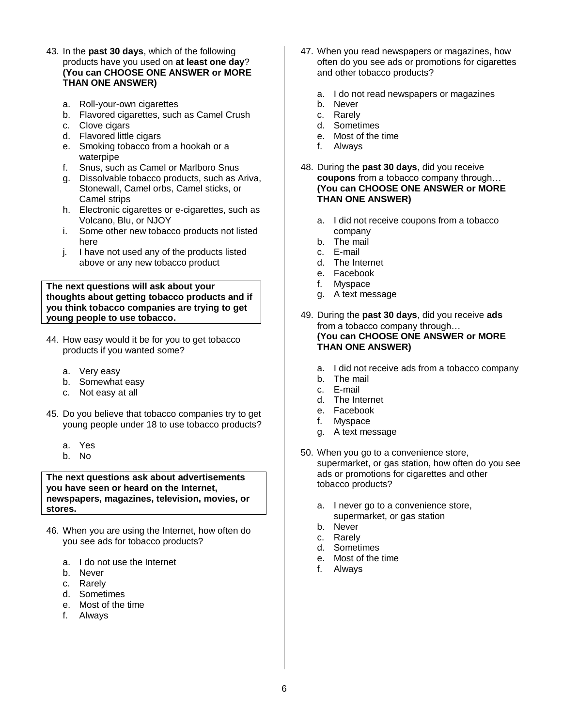- 43. In the **past 30 days**, which of the following products have you used on **at least one day**? **(You can CHOOSE ONE ANSWER or MORE THAN ONE ANSWER)**
	- a. Roll-your-own cigarettes
	- b. Flavored cigarettes, such as Camel Crush
	- c. Clove cigars
	- d. Flavored little cigars
	- e. Smoking tobacco from a hookah or a waterpipe
	- f. Snus, such as Camel or Marlboro Snus
	- g. Dissolvable tobacco products, such as Ariva, Stonewall, Camel orbs, Camel sticks, or Camel strips
	- h. Electronic cigarettes or e-cigarettes, such as Volcano, Blu, or NJOY
	- i. Some other new tobacco products not listed here
	- j. I have not used any of the products listed above or any new tobacco product

**The next questions will ask about your thoughts about getting tobacco products and if you think tobacco companies are trying to get young people to use tobacco.**

- 44. How easy would it be for you to get tobacco products if you wanted some?
	- a. Very easy
	- b. Somewhat easy
	- c. Not easy at all
- 45. Do you believe that tobacco companies try to get young people under 18 to use tobacco products?
	- a. Yes
	- b. No

**The next questions ask about advertisements you have seen or heard on the Internet, newspapers, magazines, television, movies, or stores.**

- 46. When you are using the Internet, how often do you see ads for tobacco products?
	- a. I do not use the Internet
	- b. Never
	- c. Rarely
	- d. Sometimes
	- e. Most of the time
	- f. Always
- 47. When you read newspapers or magazines, how often do you see ads or promotions for cigarettes and other tobacco products?
	- a. I do not read newspapers or magazines
	- b. Never
	- c. Rarely
	- d. Sometimes
	- e. Most of the time
	- f. Always
- 48. During the **past 30 days**, did you receive **coupons** from a tobacco company through… **(You can CHOOSE ONE ANSWER or MORE THAN ONE ANSWER)**
	- a. I did not receive coupons from a tobacco company
	- b. The mail
	- c. E-mail
	- d. The Internet
	- e. Facebook
	- f. Myspace
	- g. A text message
- 49. During the **past 30 days**, did you receive **ads** from a tobacco company through… **(You can CHOOSE ONE ANSWER or MORE THAN ONE ANSWER)**
	- a. I did not receive ads from a tobacco company
	- b. The mail
	- c. E-mail
	- d. The Internet
	- e. Facebook
	- f. Myspace
	- g. A text message
- 50. When you go to a convenience store, supermarket, or gas station, how often do you see ads or promotions for cigarettes and other tobacco products?
	- a. I never go to a convenience store, supermarket, or gas station
	- b. Never
	- c. Rarely
	- d. Sometimes
	- e. Most of the time
	- f. Always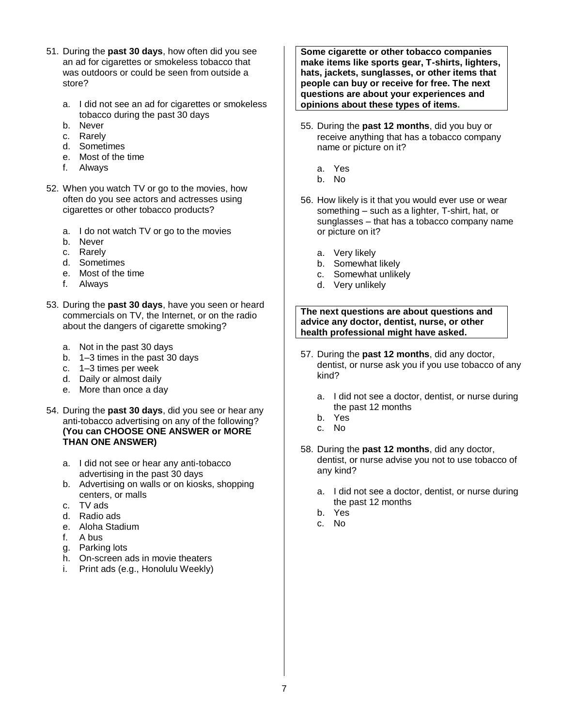- 51. During the **past 30 days**, how often did you see an ad for cigarettes or smokeless tobacco that was outdoors or could be seen from outside a store?
	- a. I did not see an ad for cigarettes or smokeless tobacco during the past 30 days
	- b. Never
	- c. Rarely
	- d. Sometimes
	- e. Most of the time
	- f. Always
- 52. When you watch TV or go to the movies, how often do you see actors and actresses using cigarettes or other tobacco products?
	- a. I do not watch TV or go to the movies
	- b. Never
	- c. Rarely
	- d. Sometimes
	- e. Most of the time
	- f. Always
- 53. During the **past 30 days**, have you seen or heard commercials on TV, the Internet, or on the radio about the dangers of cigarette smoking?
	- a. Not in the past 30 days
	- b. 1–3 times in the past 30 days
	- c. 1–3 times per week
	- d. Daily or almost daily
	- e. More than once a day
- 54. During the **past 30 days**, did you see or hear any anti-tobacco advertising on any of the following? **(You can CHOOSE ONE ANSWER or MORE THAN ONE ANSWER)**
	- a. I did not see or hear any anti-tobacco advertising in the past 30 days
	- b. Advertising on walls or on kiosks, shopping centers, or malls
	- c. TV ads
	- d. Radio ads
	- e. Aloha Stadium
	- f. A bus
	- g. Parking lots
	- h. On-screen ads in movie theaters
	- i. Print ads (e.g., Honolulu Weekly)

**Some cigarette or other tobacco companies make items like sports gear, T-shirts, lighters, hats, jackets, sunglasses, or other items that people can buy or receive for free. The next questions are about your experiences and opinions about these types of items.**

- 55. During the **past 12 months**, did you buy or receive anything that has a tobacco company name or picture on it?
	- a. Yes
	- b. No
- 56. How likely is it that you would ever use or wear something – such as a lighter, T-shirt, hat, or sunglasses – that has a tobacco company name or picture on it?
	- a. Very likely
	- b. Somewhat likely
	- c. Somewhat unlikely
	- d. Very unlikely

**The next questions are about questions and advice any doctor, dentist, nurse, or other health professional might have asked.**

- 57. During the **past 12 months**, did any doctor, dentist, or nurse ask you if you use tobacco of any kind?
	- a. I did not see a doctor, dentist, or nurse during the past 12 months
	- b. Yes
	- c. No
- 58. During the **past 12 months**, did any doctor, dentist, or nurse advise you not to use tobacco of any kind?
	- a. I did not see a doctor, dentist, or nurse during the past 12 months
	- b. Yes
	- c. No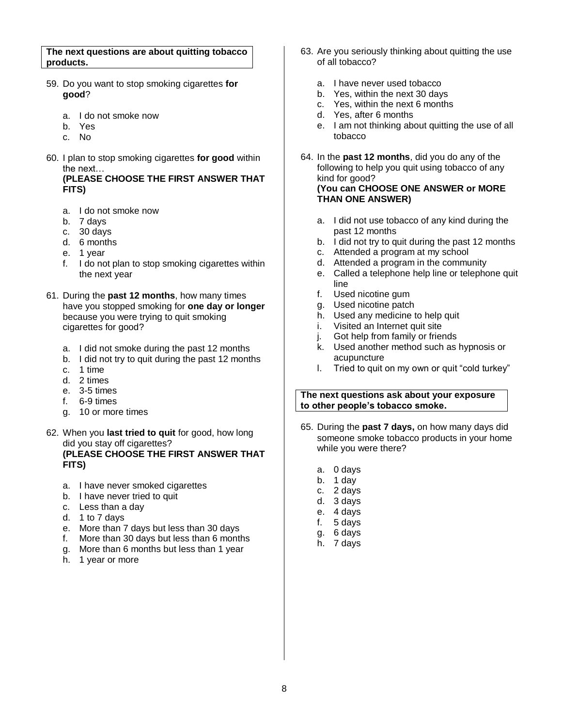**The next questions are about quitting tobacco products.**

- 59. Do you want to stop smoking cigarettes **for good**?
	- a. I do not smoke now
	- b. Yes
	- c. No
- 60. I plan to stop smoking cigarettes **for good** within the next…

**(PLEASE CHOOSE THE FIRST ANSWER THAT FITS)**

- a. I do not smoke now
- b. 7 days
- c. 30 days
- d. 6 months
- e. 1 year
- f. I do not plan to stop smoking cigarettes within the next year
- 61. During the **past 12 months**, how many times have you stopped smoking for **one day or longer** because you were trying to quit smoking cigarettes for good?
	- a. I did not smoke during the past 12 months
	- b. I did not try to quit during the past 12 months
	- c. 1 time
	- d. 2 times
	- e. 3-5 times
	- f. 6-9 times
	- g. 10 or more times
- 62. When you **last tried to quit** for good, how long did you stay off cigarettes? **(PLEASE CHOOSE THE FIRST ANSWER THAT FITS)**
	- a. I have never smoked cigarettes
	- b. I have never tried to quit
	- c. Less than a day
	- d. 1 to 7 days
	- e. More than 7 days but less than 30 days
	- f. More than 30 days but less than 6 months
	- g. More than 6 months but less than 1 year
	- h. 1 year or more
- 63. Are you seriously thinking about quitting the use of all tobacco?
	- a. I have never used tobacco
	- b. Yes, within the next 30 days
	- c. Yes, within the next 6 months
	- d. Yes, after 6 months
	- e. I am not thinking about quitting the use of all tobacco
- 64. In the **past 12 months**, did you do any of the following to help you quit using tobacco of any kind for good? **(You can CHOOSE ONE ANSWER or MORE THAN ONE ANSWER)**
	- a. I did not use tobacco of any kind during the past 12 months
	- b. I did not try to quit during the past 12 months
	- c. Attended a program at my school
	- d. Attended a program in the community
	- e. Called a telephone help line or telephone quit line
	- f. Used nicotine gum
	- g. Used nicotine patch
	- h. Used any medicine to help quit
	- i. Visited an Internet quit site
	- j. Got help from family or friends
	- k. Used another method such as hypnosis or acupuncture
	- l. Tried to quit on my own or quit "cold turkey"

#### **The next questions ask about your exposure to other people's tobacco smoke.**

- 65. During the **past 7 days,** on how many days did someone smoke tobacco products in your home while you were there?
	- a. 0 days
	- b. 1 day
	- c. 2 days
	- d. 3 days
	- e. 4 days
	- f. 5 days
	- g. 6 days
	- h. 7 days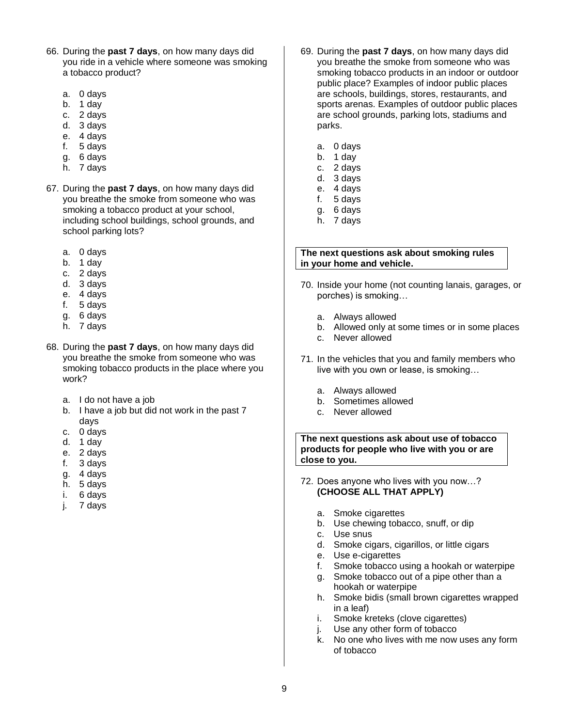- 66. During the **past 7 days**, on how many days did you ride in a vehicle where someone was smoking a tobacco product?
	- a. 0 days
	- b. 1 day
	- c. 2 days
	- d. 3 days
	- e. 4 days
	- f. 5 days
	- g. 6 days
	- h. 7 days
- 67. During the **past 7 days**, on how many days did you breathe the smoke from someone who was smoking a tobacco product at your school, including school buildings, school grounds, and school parking lots?
	- a. 0 days
	- b. 1 day
	- c. 2 days
	- d. 3 days
	- e. 4 days
	- f. 5 days
	- g. 6 days
	- h. 7 days
- 68. During the **past 7 days**, on how many days did you breathe the smoke from someone who was smoking tobacco products in the place where you work?
	- a. I do not have a job
	- b. I have a job but did not work in the past 7 days
	- c. 0 days
	- d. 1 day
	- e. 2 days
	- f. 3 days
	- g. 4 days
	- h. 5 days
	- i. 6 days
	- j. 7 days
- 69. During the **past 7 days**, on how many days did you breathe the smoke from someone who was smoking tobacco products in an indoor or outdoor public place? Examples of indoor public places are schools, buildings, stores, restaurants, and sports arenas. Examples of outdoor public places are school grounds, parking lots, stadiums and parks.
	- a. 0 days
	- b. 1 day
	- c. 2 days
	- d. 3 days e. 4 days
	- f. 5 days
	- g. 6 days
	- h. 7 days

#### **The next questions ask about smoking rules in your home and vehicle.**

- 70. Inside your home (not counting lanais, garages, or porches) is smoking…
	- a. Always allowed
	- b. Allowed only at some times or in some places
	- c. Never allowed
- 71. In the vehicles that you and family members who live with you own or lease, is smoking…
	- a. Always allowed
	- b. Sometimes allowed
	- c. Never allowed

**The next questions ask about use of tobacco products for people who live with you or are close to you.**

- 72. Does anyone who lives with you now…? **(CHOOSE ALL THAT APPLY)**
	- a. Smoke cigarettes
	- b. Use chewing tobacco, snuff, or dip
	- c. Use snus
	- d. Smoke cigars, cigarillos, or little cigars
	- e. Use e-cigarettes
	- f. Smoke tobacco using a hookah or waterpipe
	- g. Smoke tobacco out of a pipe other than a hookah or waterpipe
	- h. Smoke bidis (small brown cigarettes wrapped in a leaf)
	- i. Smoke kreteks (clove cigarettes)
	- j. Use any other form of tobacco
	- k. No one who lives with me now uses any form of tobacco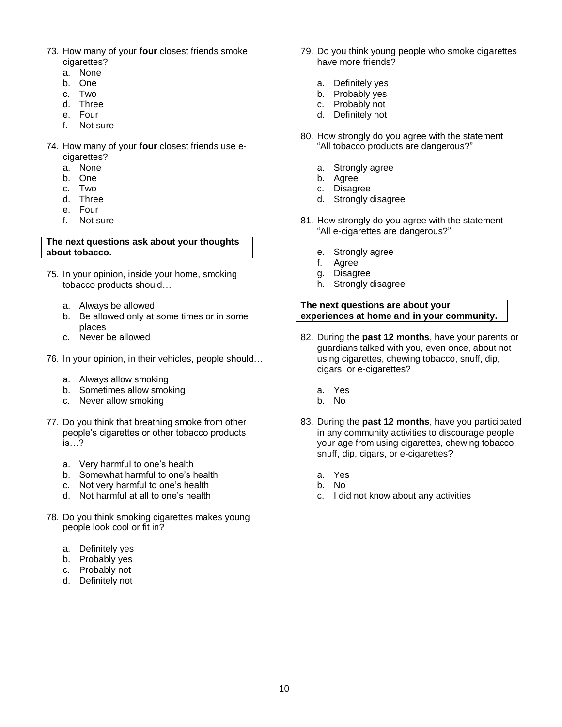- 73. How many of your **four** closest friends smoke cigarettes?
	- a. None
	- b. One
	- c. Two
	- d. Three
	- e. Four
	- f. Not sure
- 74. How many of your **four** closest friends use ecigarettes?
	- a. None
	- b. One
	- c. Two
	- d. Three
	- e. Four
	- f. Not sure

#### **The next questions ask about your thoughts about tobacco.**

- 75. In your opinion, inside your home, smoking tobacco products should…
	- a. Always be allowed
	- b. Be allowed only at some times or in some places
	- c. Never be allowed
- 76. In your opinion, in their vehicles, people should…
	- a. Always allow smoking
	- b. Sometimes allow smoking
	- c. Never allow smoking
- 77. Do you think that breathing smoke from other people's cigarettes or other tobacco products is…?
	- a. Very harmful to one's health
	- b. Somewhat harmful to one's health
	- c. Not very harmful to one's health
	- d. Not harmful at all to one's health
- 78. Do you think smoking cigarettes makes young people look cool or fit in?
	- a. Definitely yes
	- b. Probably yes
	- c. Probably not
	- d. Definitely not
- 79. Do you think young people who smoke cigarettes have more friends?
	- a. Definitely yes
	- b. Probably yes
	- c. Probably not
	- d. Definitely not
- 80. How strongly do you agree with the statement "All tobacco products are dangerous?"
	- a. Strongly agree
	- b. Agree
	- c. Disagree
	- d. Strongly disagree
- 81. How strongly do you agree with the statement "All e-cigarettes are dangerous?"
	- e. Strongly agree
	- f. Agree
	- g. Disagree
	- h. Strongly disagree

## **The next questions are about your experiences at home and in your community.**

- 82. During the **past 12 months**, have your parents or guardians talked with you, even once, about not using cigarettes, chewing tobacco, snuff, dip, cigars, or e-cigarettes?
	- a. Yes
	- b. No
- 83. During the **past 12 months**, have you participated in any community activities to discourage people your age from using cigarettes, chewing tobacco, snuff, dip, cigars, or e-cigarettes?
	- a. Yes
	- b. No
	- c. I did not know about any activities